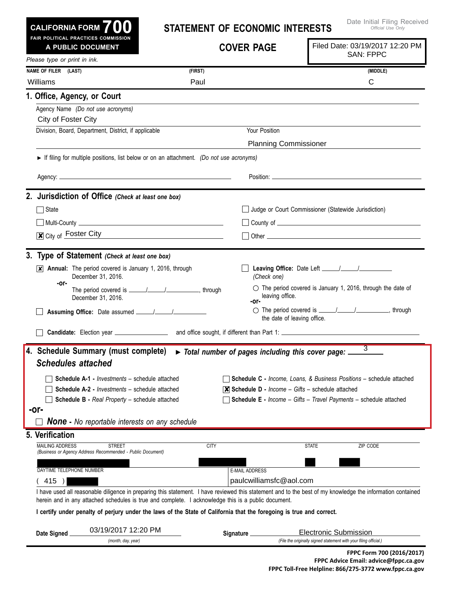| <b>CALIFORNIA FORM</b> | ZOTO |  |
|------------------------|------|--|
|                        |      |  |

## **Statement of Economic Interests**

|                              | FAIR POLITICAL PRACTICES COMMISSION<br>A PUBLIC DOCUMENT                                                                                                                                                                                                          |             | <b>COVER PAGE</b>                                                     |                                                                   | Filed Date: 03/19/2017 12:20 PM<br><b>SAN: FPPC</b>                                                             |
|------------------------------|-------------------------------------------------------------------------------------------------------------------------------------------------------------------------------------------------------------------------------------------------------------------|-------------|-----------------------------------------------------------------------|-------------------------------------------------------------------|-----------------------------------------------------------------------------------------------------------------|
| Please type or print in ink. |                                                                                                                                                                                                                                                                   |             |                                                                       |                                                                   |                                                                                                                 |
| NAME OF FILER (LAST)         |                                                                                                                                                                                                                                                                   | (FIRST)     |                                                                       |                                                                   | (MIDDLE)                                                                                                        |
| Williams                     |                                                                                                                                                                                                                                                                   | Paul        |                                                                       |                                                                   | C                                                                                                               |
| 1. Office, Agency, or Court  |                                                                                                                                                                                                                                                                   |             |                                                                       |                                                                   |                                                                                                                 |
| City of Foster City          | Agency Name (Do not use acronyms)                                                                                                                                                                                                                                 |             |                                                                       |                                                                   |                                                                                                                 |
|                              | Division, Board, Department, District, if applicable                                                                                                                                                                                                              |             | Your Position                                                         |                                                                   |                                                                                                                 |
|                              |                                                                                                                                                                                                                                                                   |             |                                                                       | <b>Planning Commissioner</b>                                      |                                                                                                                 |
|                              | If filing for multiple positions, list below or on an attachment. (Do not use acronyms)                                                                                                                                                                           |             |                                                                       |                                                                   |                                                                                                                 |
|                              |                                                                                                                                                                                                                                                                   |             |                                                                       |                                                                   |                                                                                                                 |
|                              | 2. Jurisdiction of Office (Check at least one box)                                                                                                                                                                                                                |             |                                                                       |                                                                   |                                                                                                                 |
| State                        |                                                                                                                                                                                                                                                                   |             |                                                                       | Judge or Court Commissioner (Statewide Jurisdiction)              |                                                                                                                 |
|                              |                                                                                                                                                                                                                                                                   |             |                                                                       |                                                                   | □ County of <u>■ County of ■ County of ■ County of ■ County of ■ County of ■ County of ■ County of Business</u> |
|                              | $\boxed{\mathbf{X}}$ City of Foster City                                                                                                                                                                                                                          |             |                                                                       |                                                                   |                                                                                                                 |
|                              |                                                                                                                                                                                                                                                                   |             |                                                                       |                                                                   |                                                                                                                 |
|                              | 3. Type of Statement (Check at least one box)                                                                                                                                                                                                                     |             |                                                                       |                                                                   |                                                                                                                 |
| $\vert x \vert$              | Annual: The period covered is January 1, 2016, through<br>December 31, 2016.                                                                                                                                                                                      |             | (Check one)                                                           |                                                                   |                                                                                                                 |
| -or-                         | December 31, 2016.                                                                                                                                                                                                                                                |             | leaving office.<br>-or-                                               |                                                                   | $\circlearrowright$ The period covered is January 1, 2016, through the date of                                  |
|                              |                                                                                                                                                                                                                                                                   |             |                                                                       | the date of leaving office.                                       | ○ The period covered is <u>_____/_____/</u> ________________, through                                           |
|                              | Candidate: Election year ___________________                                                                                                                                                                                                                      |             |                                                                       |                                                                   |                                                                                                                 |
| <b>Schedules attached</b>    | 4. Schedule Summary (must complete)                                                                                                                                                                                                                               |             | Total number of pages including this cover page: $\equiv$             |                                                                   | $\overline{3}$                                                                                                  |
|                              | <b>Schedule A-1 -</b> <i>Investments</i> – schedule attached                                                                                                                                                                                                      |             |                                                                       |                                                                   | <b>Schedule C</b> - <i>Income, Loans, &amp; Business Positions</i> – schedule attached                          |
|                              | <b>Schedule A-2 - Investments - schedule attached</b>                                                                                                                                                                                                             |             | $\mathbf{\mathbf{X}}$ Schedule D - Income - Gifts - schedule attached |                                                                   |                                                                                                                 |
|                              | <b>Schedule B - Real Property – schedule attached</b>                                                                                                                                                                                                             |             |                                                                       |                                                                   | <b>Schedule E</b> - Income - Gifts - Travel Payments - schedule attached                                        |
| -or-                         | <b>None -</b> No reportable interests on any schedule                                                                                                                                                                                                             |             |                                                                       |                                                                   |                                                                                                                 |
| 5. Verification              |                                                                                                                                                                                                                                                                   |             |                                                                       |                                                                   |                                                                                                                 |
| <b>MAILING ADDRESS</b>       | <b>STREET</b><br>(Business or Agency Address Recommended - Public Document)                                                                                                                                                                                       | <b>CITY</b> |                                                                       | <b>STATE</b>                                                      | ZIP CODE                                                                                                        |
| DAYTIME TELEPHONE NUMBER     |                                                                                                                                                                                                                                                                   |             | <b>E-MAIL ADDRESS</b>                                                 |                                                                   |                                                                                                                 |
| 415)                         |                                                                                                                                                                                                                                                                   |             | paulcwilliamsfc@aol.com                                               |                                                                   |                                                                                                                 |
|                              | I have used all reasonable diligence in preparing this statement. I have reviewed this statement and to the best of my knowledge the information contained<br>herein and in any attached schedules is true and complete. I acknowledge this is a public document. |             |                                                                       |                                                                   |                                                                                                                 |
|                              | I certify under penalty of perjury under the laws of the State of California that the foregoing is true and correct.                                                                                                                                              |             |                                                                       |                                                                   |                                                                                                                 |
| Date Signed                  | 03/19/2017 12:20 PM                                                                                                                                                                                                                                               |             | Signature _                                                           | <b>Electronic Submission</b>                                      |                                                                                                                 |
|                              | (month, day, year)                                                                                                                                                                                                                                                |             |                                                                       | (File the originally signed statement with your filing official.) |                                                                                                                 |
|                              |                                                                                                                                                                                                                                                                   |             |                                                                       |                                                                   | FPPC Form 700 (2016/2017)                                                                                       |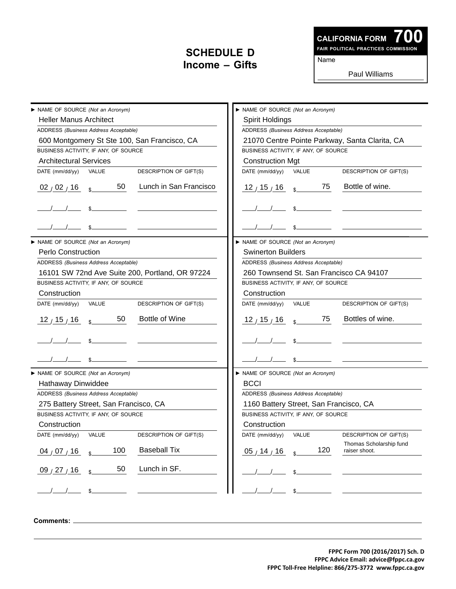## **Schedule D Income – Gifts**

**700 Fair Political Practices Commission CALIFORNIA FORM**

Name

Paul Williams

| NAME OF SOURCE (Not an Acronym)                                                                                                                                                                                                   | NAME OF SOURCE (Not an Acronym)                             |  |  |
|-----------------------------------------------------------------------------------------------------------------------------------------------------------------------------------------------------------------------------------|-------------------------------------------------------------|--|--|
| <b>Heller Manus Architect</b>                                                                                                                                                                                                     | <b>Spirit Holdings</b>                                      |  |  |
| ADDRESS (Business Address Acceptable)                                                                                                                                                                                             | ADDRESS (Business Address Acceptable)                       |  |  |
| 600 Montgomery St Ste 100, San Francisco, CA                                                                                                                                                                                      | 21070 Centre Pointe Parkway, Santa Clarita, CA              |  |  |
| BUSINESS ACTIVITY, IF ANY, OF SOURCE                                                                                                                                                                                              | BUSINESS ACTIVITY, IF ANY, OF SOURCE                        |  |  |
| <b>Architectural Services</b>                                                                                                                                                                                                     | <b>Construction Mgt</b>                                     |  |  |
| DATE (mm/dd/yy)<br>DESCRIPTION OF GIFT(S)<br>VALUE                                                                                                                                                                                | DATE (mm/dd/yy)<br>DESCRIPTION OF GIFT(S)<br>VALUE          |  |  |
|                                                                                                                                                                                                                                   |                                                             |  |  |
| Lunch in San Francisco<br>50<br>$02/02/16$ s                                                                                                                                                                                      | $\frac{12}{15}$ , 15 $\frac{16}{16}$ s 75 Bottle of wine.   |  |  |
| $\frac{1}{2}$ . The contract of the contract of the contract of the contract of the contract of the contract of the contract of the contract of the contract of the contract of the contract of the contract of the contract of t |                                                             |  |  |
| s                                                                                                                                                                                                                                 | $\frac{1}{2}$                                               |  |  |
| NAME OF SOURCE (Not an Acronym)                                                                                                                                                                                                   | NAME OF SOURCE (Not an Acronym)                             |  |  |
| <b>Perlo Construction</b>                                                                                                                                                                                                         | <b>Swinerton Builders</b>                                   |  |  |
| ADDRESS (Business Address Acceptable)                                                                                                                                                                                             | ADDRESS (Business Address Acceptable)                       |  |  |
| 16101 SW 72nd Ave Suite 200, Portland, OR 97224                                                                                                                                                                                   | 260 Townsend St. San Francisco CA 94107                     |  |  |
| BUSINESS ACTIVITY, IF ANY, OF SOURCE                                                                                                                                                                                              | BUSINESS ACTIVITY, IF ANY, OF SOURCE                        |  |  |
| Construction                                                                                                                                                                                                                      | Construction                                                |  |  |
| DATE (mm/dd/yy)<br>DESCRIPTION OF GIFT(S)<br>VALUE                                                                                                                                                                                | DATE (mm/dd/yy)<br>DESCRIPTION OF GIFT(S)<br>VALUE          |  |  |
| $\frac{12}{15}$ , $\frac{16}{16}$ s 50 Bottle of Wine                                                                                                                                                                             | $12/15/16$ s 75<br>Bottles of wine.                         |  |  |
|                                                                                                                                                                                                                                   |                                                             |  |  |
|                                                                                                                                                                                                                                   |                                                             |  |  |
| NAME OF SOURCE (Not an Acronym)                                                                                                                                                                                                   | NAME OF SOURCE (Not an Acronym)                             |  |  |
| Hathaway Dinwiddee                                                                                                                                                                                                                | <b>BCCI</b>                                                 |  |  |
| ADDRESS (Business Address Acceptable)                                                                                                                                                                                             | ADDRESS (Business Address Acceptable)                       |  |  |
| 275 Battery Street, San Francisco, CA                                                                                                                                                                                             | 1160 Battery Street, San Francisco, CA                      |  |  |
| BUSINESS ACTIVITY, IF ANY, OF SOURCE                                                                                                                                                                                              | BUSINESS ACTIVITY, IF ANY, OF SOURCE                        |  |  |
| Construction                                                                                                                                                                                                                      | Construction                                                |  |  |
| DATE (mm/dd/yy)<br>VALUE<br>DESCRIPTION OF GIFT(S)                                                                                                                                                                                | DATE (mm/dd/yy)<br>VALUE<br>DESCRIPTION OF GIFT(S)          |  |  |
| <b>Baseball Tix</b><br>100<br>04 $/$ 07 $/$ 16                                                                                                                                                                                    | Thomas Scholarship fund<br>120<br>raiser shoot.<br>05/14/16 |  |  |
| Lunch in SF.<br>50<br>09/27/16                                                                                                                                                                                                    |                                                             |  |  |
| \$.                                                                                                                                                                                                                               |                                                             |  |  |

**Comments:**